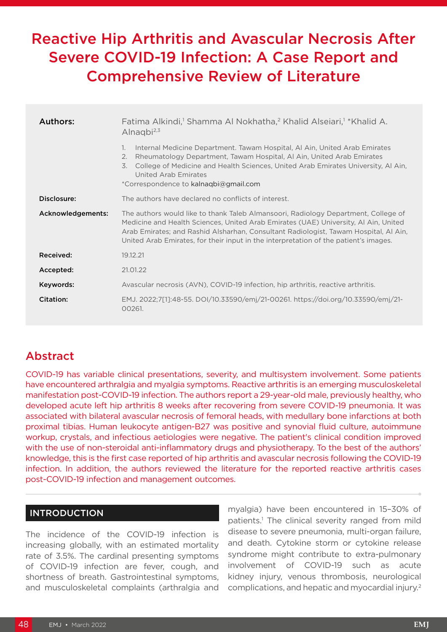# Reactive Hip Arthritis and Avascular Necrosis After Severe COVID-19 Infection: A Case Report and Comprehensive Review of Literature

| Authors:          | Fatima Alkindi, <sup>1</sup> Shamma Al Nokhatha, <sup>2</sup> Khalid Alseiari, <sup>1</sup> *Khalid A.<br>Alnagbi <sup>2,3</sup>                                                                                                                                                                                                                          |  |
|-------------------|-----------------------------------------------------------------------------------------------------------------------------------------------------------------------------------------------------------------------------------------------------------------------------------------------------------------------------------------------------------|--|
|                   | Internal Medicine Department. Tawam Hospital, Al Ain, United Arab Emirates<br>1.<br>Rheumatology Department, Tawam Hospital, Al Ain, United Arab Emirates<br>2.<br>College of Medicine and Health Sciences, United Arab Emirates University, Al Ain,<br>3.<br>United Arab Emirates<br>*Correspondence to kalnagbi@gmail.com                               |  |
| Disclosure:       | The authors have declared no conflicts of interest.                                                                                                                                                                                                                                                                                                       |  |
| Acknowledgements: | The authors would like to thank Taleb Almansoori, Radiology Department, College of<br>Medicine and Health Sciences, United Arab Emirates (UAE) University, AI Ain, United<br>Arab Emirates; and Rashid Alsharhan, Consultant Radiologist, Tawam Hospital, Al Ain,<br>United Arab Emirates, for their input in the interpretation of the patient's images. |  |
| Received:         | 19.12.21                                                                                                                                                                                                                                                                                                                                                  |  |
| Accepted:         | 21.01.22                                                                                                                                                                                                                                                                                                                                                  |  |
| Keywords:         | Avascular necrosis (AVN), COVID-19 infection, hip arthritis, reactive arthritis.                                                                                                                                                                                                                                                                          |  |
| Citation:         | EMJ. 2022;7[1]:48-55. DOI/10.33590/emj/21-00261. https://doi.org/10.33590/emj/21-<br>00261.                                                                                                                                                                                                                                                               |  |

# Abstract

COVID-19 has variable clinical presentations, severity, and multisystem involvement. Some patients have encountered arthralgia and myalgia symptoms. Reactive arthritis is an emerging musculoskeletal manifestation post-COVID-19 infection. The authors report a 29-year-old male, previously healthy, who developed acute left hip arthritis 8 weeks after recovering from severe COVID-19 pneumonia. It was associated with bilateral avascular necrosis of femoral heads, with medullary bone infarctions at both proximal tibias. Human leukocyte antigen-B27 was positive and synovial fluid culture, autoimmune workup, crystals, and infectious aetiologies were negative. The patient's clinical condition improved with the use of non-steroidal anti-inflammatory drugs and physiotherapy. To the best of the authors' knowledge, this is the first case reported of hip arthritis and avascular necrosis following the COVID-19 infection. In addition, the authors reviewed the literature for the reported reactive arthritis cases post-COVID-19 infection and management outcomes.

# INTRODUCTION

The incidence of the COVID-19 infection is increasing globally, with an estimated mortality rate of 3.5%. The cardinal presenting symptoms of COVID-19 infection are fever, cough, and shortness of breath. Gastrointestinal symptoms, and musculoskeletal complaints (arthralgia and myalgia) have been encountered in 15–30% of patients.<sup>1</sup> The clinical severity ranged from mild disease to severe pneumonia, multi-organ failure, and death. Cytokine storm or cytokine release syndrome might contribute to extra-pulmonary involvement of COVID-19 such as acute kidney injury, venous thrombosis, neurological complications, and hepatic and myocardial injury.2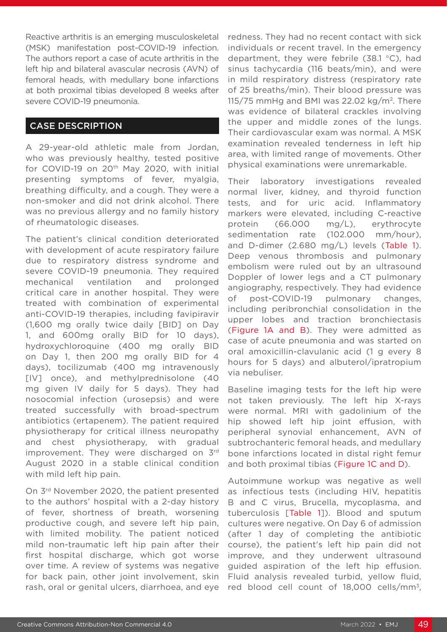Reactive arthritis is an emerging musculoskeletal (MSK) manifestation post-COVID-19 infection. The authors report a case of acute arthritis in the left hip and bilateral avascular necrosis (AVN) of femoral heads, with medullary bone infarctions at both proximal tibias developed 8 weeks after severe COVID-19 pneumonia.

## CASE DESCRIPTION

A 29-year-old athletic male from Jordan, who was previously healthy, tested positive for COVID-19 on 20<sup>th</sup> May 2020, with initial presenting symptoms of fever, myalgia, breathing difficulty, and a cough. They were a non-smoker and did not drink alcohol. There was no previous allergy and no family history of rheumatologic diseases.

The patient's clinical condition deteriorated with development of acute respiratory failure due to respiratory distress syndrome and severe COVID-19 pneumonia. They required mechanical ventilation and prolonged critical care in another hospital. They were treated with combination of experimental anti-COVID-19 therapies, including favipiravir (1,600 mg orally twice daily [BID] on Day 1, and 600mg orally BID for 10 days), hydroxychloroquine (400 mg orally BID on Day 1, then 200 mg orally BID for 4 days), tocilizumab (400 mg intravenously [IV] once), and methylprednisolone (40 mg given IV daily for 5 days). They had nosocomial infection (urosepsis) and were treated successfully with broad-spectrum antibiotics (ertapenem). The patient required physiotherapy for critical illness neuropathy and chest physiotherapy, with gradual improvement. They were discharged on 3rd August 2020 in a stable clinical condition with mild left hip pain.

On 3rd November 2020, the patient presented to the authors' hospital with a 2-day history of fever, shortness of breath, worsening productive cough, and severe left hip pain, with limited mobility. The patient noticed mild non-traumatic left hip pain after their first hospital discharge, which got worse over time. A review of systems was negative for back pain, other joint involvement, skin rash, oral or genital ulcers, diarrhoea, and eye

redness. They had no recent contact with sick individuals or recent travel. In the emergency department, they were febrile (38.1 °C), had sinus tachycardia (116 beats/min), and were in mild respiratory distress (respiratory rate of 25 breaths/min). Their blood pressure was 115/75 mmHg and BMI was 22.02 kg/m<sup>2</sup>. There was evidence of bilateral crackles involving the upper and middle zones of the lungs. Their cardiovascular exam was normal. A MSK examination revealed tenderness in left hip area, with limited range of movements. Other physical examinations were unremarkable.

Their laboratory investigations revealed normal liver, kidney, and thyroid function tests, and for uric acid. Inflammatory markers were elevated, including C-reactive protein (66.000 mg/L), erythrocyte sedimentation rate (102.000 mm/hour), and D-dimer (2.680 mg/L) levels (Table 1). Deep venous thrombosis and pulmonary embolism were ruled out by an ultrasound Doppler of lower legs and a CT pulmonary angiography, respectively. They had evidence of post-COVID-19 pulmonary changes, including peribronchial consolidation in the upper lobes and traction bronchiectasis (Figure 1A and B). They were admitted as case of acute pneumonia and was started on oral amoxicillin-clavulanic acid (1 g every 8 hours for 5 days) and albuterol/ipratropium via nebuliser.

Baseline imaging tests for the left hip were not taken previously. The left hip X-rays were normal. MRI with gadolinium of the hip showed left hip joint effusion, with peripheral synovial enhancement, AVN of subtrochanteric femoral heads, and medullary bone infarctions located in distal right femur and both proximal tibias (Figure 1C and D).

Autoimmune workup was negative as well as infectious tests (including HIV, hepatitis B and C virus, Brucella, mycoplasma, and tuberculosis [Table 1]). Blood and sputum cultures were negative. On Day 6 of admission (after 1 day of completing the antibiotic course), the patient's left hip pain did not improve, and they underwent ultrasound guided aspiration of the left hip effusion. Fluid analysis revealed turbid, yellow fluid, red blood cell count of 18,000 cells/mm3,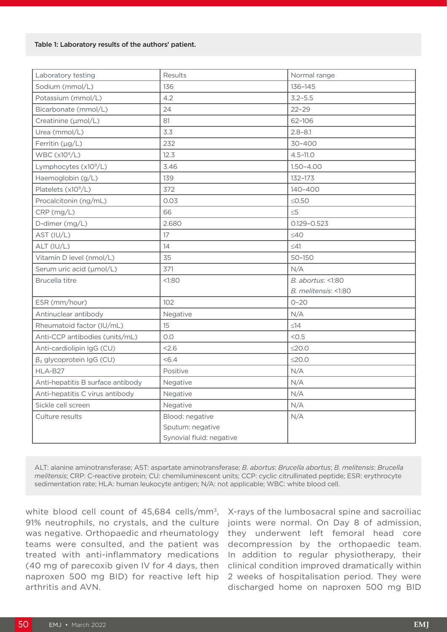#### Table 1: Laboratory results of the authors' patient.

| Laboratory testing                | Results                  | Normal range         |
|-----------------------------------|--------------------------|----------------------|
| Sodium (mmol/L)                   | 136                      | 136-145              |
| Potassium (mmol/L)                | 4.2                      | $3.2 - 5.5$          |
| Bicarbonate (mmol/L)              | 24                       | $22 - 29$            |
| Creatinine (µmol/L)               | 81                       | 62-106               |
| Urea (mmol/L)                     | 3.3                      | $2.8 - 8.1$          |
| Ferritin (µg/L)                   | 232                      | 30-400               |
| WBC $(x10^9/L)$                   | 12.3                     | $4.5 - 11.0$         |
| Lymphocytes (x10 <sup>9</sup> /L) | 3.46                     | $1.50 - 4.00$        |
| Haemoglobin (g/L)                 | 139                      | 132-173              |
| Platelets (x10 <sup>9</sup> /L)   | 372                      | 140-400              |
| Procalcitonin (ng/mL)             | 0.03                     | $\leq$ 0.50          |
| CRP (mg/L)                        | 66                       | $\leq 5$             |
| D-dimer (mg/L)                    | 2.680                    | $0.129 - 0.523$      |
| AST (IU/L)                        | 17                       | $\leq 40$            |
| ALT (IU/L)                        | 14                       | $\leq 41$            |
| Vitamin D level (nmol/L)          | 35                       | $50 - 150$           |
| Serum uric acid (µmol/L)          | 371                      | N/A                  |
| Brucella titre                    | <1:80                    | B. abortus: <1:80    |
|                                   |                          | B. melitensis: <1:80 |
| ESR (mm/hour)                     | 102                      | $O - 2O$             |
| Antinuclear antibody              | Negative                 | N/A                  |
| Rheumatoid factor (IU/mL)         | 15                       | $\leq$ 14            |
| Anti-CCP antibodies (units/mL)    | O.O                      | < 0.5                |
| Anti-cardiolipin IgG (CU)         | 2.6                      | $\leq$ 20.0          |
| $\beta_2$ glycoprotein IgG (CU)   | &5.4                     | $\leq$ 20.0          |
| HLA-B27                           | Positive                 | N/A                  |
| Anti-hepatitis B surface antibody | Negative                 | N/A                  |
| Anti-hepatitis C virus antibody   | Negative                 | N/A                  |
| Sickle cell screen                | Negative                 | N/A                  |
| Culture results                   | Blood: negative          | N/A                  |
|                                   | Sputum: negative         |                      |
|                                   | Synovial fluid: negative |                      |

ALT: alanine aminotransferase; AST: aspartate aminotransferase; *B. abortus*: *Brucella abortus*; *B. melitensis*: *B*r*ucella melitensis*; CRP: C-reactive protein; CU: chemiluminescent units; CCP: cyclic citrullinated peptide; ESR: erythrocyte sedimentation rate; HLA: human leukocyte antigen; N/A: not applicable; WBC: white blood cell.

white blood cell count of 45,684 cells/mm<sup>3</sup>, 91% neutrophils, no crystals, and the culture was negative. Orthopaedic and rheumatology teams were consulted, and the patient was treated with anti-inflammatory medications (40 mg of parecoxib given IV for 4 days, then naproxen 500 mg BID) for reactive left hip arthritis and AVN.

X-rays of the lumbosacral spine and sacroiliac joints were normal. On Day 8 of admission, they underwent left femoral head core decompression by the orthopaedic team. In addition to regular physiotherapy, their clinical condition improved dramatically within 2 weeks of hospitalisation period. They were discharged home on naproxen 500 mg BID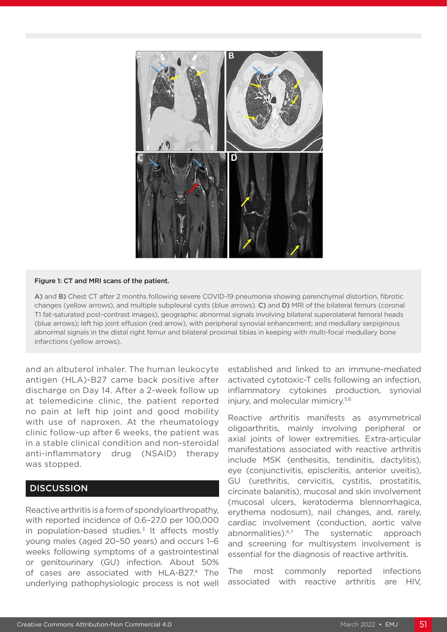

#### Figure 1: CT and MRI scans of the patient.

A) and B) Chest CT after 2 months following severe COVID-19 pneumonia showing parenchymal distortion, fibrotic changes (yellow arrows), and multiple subpleural cysts (blue arrows). C) and D) MRI of the bilateral femurs (coronal T1 fat-saturated post-contrast images), geographic abnormal signals involving bilateral superolateral femoral heads (blue arrows); left hip joint effusion (red arrow), with peripheral synovial enhancement; and medullary serpiginous abnormal signals in the distal right femur and bilateral proximal tibias in keeping with multi-focal medullary bone infarctions (yellow arrows).

and an albuterol inhaler. The human leukocyte antigen (HLA)-B27 came back positive after discharge on Day 14. After a 2-week follow up at telemedicine clinic, the patient reported no pain at left hip joint and good mobility with use of naproxen. At the rheumatology clinic follow-up after 6 weeks, the patient was in a stable clinical condition and non-steroidal anti-inflammatory drug (NSAID) therapy was stopped.

# **DISCUSSION**

Reactive arthritis is a form of spondyloarthropathy, with reported incidence of 0.6–27.0 per 100,000 in population-based studies. $3$  It affects mostly young males (aged 20–50 years) and occurs 1–6 weeks following symptoms of a gastrointestinal or genitourinary (GU) infection. About 50% of cases are associated with HLA-B27.4 The underlying pathophysiologic process is not well

established and linked to an immune-mediated activated cytotoxic-T cells following an infection, inflammatory cytokines production, synovial injury, and molecular mimicry.5,6

Reactive arthritis manifests as asymmetrical oligoarthritis, mainly involving peripheral or axial joints of lower extremities. Extra-articular manifestations associated with reactive arthritis include MSK (enthesitis, tendinitis, dactylitis), eye (conjunctivitis, episcleritis, anterior uveitis), GU (urethritis, cervicitis, cystitis, prostatitis, circinate balanitis), mucosal and skin involvement (mucosal ulcers, keratoderma blennorrhagica, erythema nodosum), nail changes, and, rarely, cardiac involvement (conduction, aortic valve abnormalities).<sup>6,7</sup> The systematic approach and screening for multisystem involvement is essential for the diagnosis of reactive arthritis.

The most commonly reported infections associated with reactive arthritis are HIV,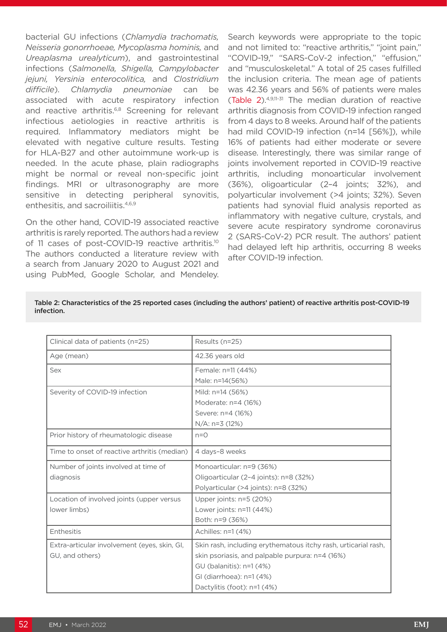bacterial GU infections (*Chlamydia trachomatis, Neisseria gonorrhoeae, Mycoplasma hominis,* and *Ureaplasma urealyticum*), and gastrointestinal infections (*Salmonella, Shigella, Campylobacter jejuni, Yersinia enterocolitica,* and *Clostridium difficile*). *Chlamydia pneumoniae* can be associated with acute respiratory infection and reactive arthritis.<sup>6,8</sup> Screening for relevant infectious aetiologies in reactive arthritis is required. Inflammatory mediators might be elevated with negative culture results. Testing for HLA-B27 and other autoimmune work-up is needed. In the acute phase, plain radiographs might be normal or reveal non-specific joint findings. MRI or ultrasonography are more sensitive in detecting peripheral synovitis, enthesitis, and sacroiliitis.<sup>4,6,9</sup>

On the other hand, COVID-19 associated reactive arthritis is rarely reported. The authors had a review of 11 cases of post-COVID-19 reactive arthritis.<sup>10</sup> The authors conducted a literature review with a search from January 2020 to August 2021 and using PubMed, Google Scholar, and Mendeley.

Search keywords were appropriate to the topic and not limited to: "reactive arthritis," "joint pain," "COVID-19," "SARS-CoV-2 infection," "effusion," and "musculoskeletal." A total of 25 cases fulfilled the inclusion criteria. The mean age of patients was 42.36 years and 56% of patients were males (Table 2).4,9,11-31 The median duration of reactive arthritis diagnosis from COVID-19 infection ranged from 4 days to 8 weeks. Around half of the patients had mild COVID-19 infection (n=14 [56%]), while 16% of patients had either moderate or severe disease. Interestingly, there was similar range of joints involvement reported in COVID-19 reactive arthritis, including monoarticular involvement (36%), oligoarticular (2–4 joints; 32%), and polyarticular involvement (>4 joints; 32%). Seven patients had synovial fluid analysis reported as inflammatory with negative culture, crystals, and severe acute respiratory syndrome coronavirus 2 (SARS-CoV-2) PCR result. The authors' patient had delayed left hip arthritis, occurring 8 weeks after COVID-19 infection.

| Clinical data of patients (n=25)             | Results (n=25)                                                 |
|----------------------------------------------|----------------------------------------------------------------|
| Age (mean)                                   | 42.36 years old                                                |
| Sex                                          | Female: n=11 (44%)                                             |
|                                              | Male: n=14(56%)                                                |
| Severity of COVID-19 infection               | Mild: n=14 (56%)                                               |
|                                              | Moderate: n=4 (16%)                                            |
|                                              | Severe: n=4 (16%)                                              |
|                                              | $N/A$ : n=3 (12%)                                              |
| Prior history of rheumatologic disease       | $n=0$                                                          |
| Time to onset of reactive arthritis (median) | 4 days-8 weeks                                                 |
| Number of joints involved at time of         | Monoarticular: n=9 (36%)                                       |
| diagnosis                                    | Oligoarticular (2-4 joints): n=8 (32%)                         |
|                                              | Polyarticular (>4 joints): n=8 (32%)                           |
| Location of involved joints (upper versus    | Upper joints: n=5 (20%)                                        |
| lower limbs)                                 | Lower joints: $n=11$ (44%)                                     |
|                                              | Both: n=9 (36%)                                                |
| Enthesitis                                   | Achilles: n=1 (4%)                                             |
| Extra-articular involvement (eyes, skin, GI, | Skin rash, including erythematous itchy rash, urticarial rash, |
| GU, and others)                              | skin psoriasis, and palpable purpura: n=4 (16%)                |
|                                              | GU (balanitis): n=1 (4%)                                       |
|                                              | GI (diarrhoea): n=1 (4%)                                       |
|                                              | Dactylitis (foot): n=1 (4%)                                    |

#### Table 2: Characteristics of the 25 reported cases (including the authors' patient) of reactive arthritis post-COVID-19 infection.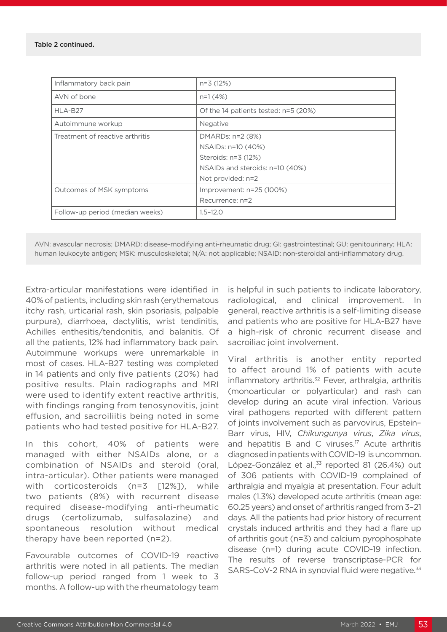| Inflammatory back pain          | $n=3(12%)$                                                                                       |
|---------------------------------|--------------------------------------------------------------------------------------------------|
| AVN of bone                     | $n=1(4%)$                                                                                        |
| HLA-B27                         | Of the 14 patients tested: n=5 (20%)                                                             |
| Autoimmune workup               | Negative                                                                                         |
| Treatment of reactive arthritis | DMARDs: n=2 (8%)<br>NSAIDs: n=10 (40%)<br>Steroids: n=3 (12%)<br>NSAIDs and steroids: n=10 (40%) |
|                                 | Not provided: n=2                                                                                |
| Outcomes of MSK symptoms        | Improvement: n=25 (100%)                                                                         |
|                                 | Recurrence: n=2                                                                                  |
| Follow-up period (median weeks) | $1.5 - 12.0$                                                                                     |

AVN: avascular necrosis; DMARD: disease-modifying anti-rheumatic drug; GI: gastrointestinal; GU: genitourinary; HLA: human leukocyte antigen; MSK: musculoskeletal; N/A: not applicable; NSAID: non-steroidal anti-inflammatory drug.

Extra-articular manifestations were identified in 40% of patients, including skin rash (erythematous itchy rash, urticarial rash, skin psoriasis, palpable purpura), diarrhoea, dactylitis, wrist tendinitis, Achilles enthesitis/tendonitis, and balanitis. Of all the patients, 12% had inflammatory back pain. Autoimmune workups were unremarkable in most of cases. HLA-B27 testing was completed in 14 patients and only five patients (20%) had positive results. Plain radiographs and MRI were used to identify extent reactive arthritis, with findings ranging from tenosynovitis, joint effusion, and sacroiliitis being noted in some patients who had tested positive for HLA-B27.

In this cohort, 40% of patients were managed with either NSAIDs alone, or a combination of NSAIDs and steroid (oral, intra-articular). Other patients were managed with corticosteroids (n=3 [12%]), while two patients (8%) with recurrent disease required disease-modifying anti-rheumatic drugs (certolizumab, sulfasalazine) and spontaneous resolution without medical therapy have been reported (n=2).

Favourable outcomes of COVID-19 reactive arthritis were noted in all patients. The median follow-up period ranged from 1 week to 3 months. A follow-up with the rheumatology team

is helpful in such patients to indicate laboratory, radiological, and clinical improvement. In general, reactive arthritis is a self-limiting disease and patients who are positive for HLA-B27 have a high-risk of chronic recurrent disease and sacroiliac joint involvement.

Viral arthritis is another entity reported to affect around 1% of patients with acute inflammatory arthritis.<sup>32</sup> Fever, arthralgia, arthritis (monoarticular or polyarticular) and rash can develop during an acute viral infection. Various viral pathogens reported with different pattern of joints involvement such as parvovirus, Epstein– Barr virus, HIV, *Chikungunya virus*, *Zika virus*, and hepatitis B and C viruses.17 Acute arthritis diagnosed in patients with COVID-19 is uncommon. López-González et al.,<sup>33</sup> reported 81 (26.4%) out of 306 patients with COVID-19 complained of arthralgia and myalgia at presentation. Four adult males (1.3%) developed acute arthritis (mean age: 60.25 years) and onset of arthritis ranged from 3–21 days. All the patients had prior history of recurrent crystals induced arthritis and they had a flare up of arthritis gout (n=3) and calcium pyrophosphate disease (n=1) during acute COVID-19 infection. The results of reverse transcriptase-PCR for SARS-CoV-2 RNA in synovial fluid were negative.<sup>33</sup>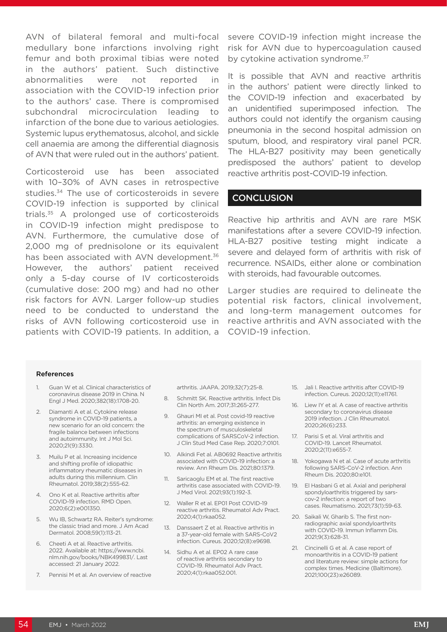AVN of bilateral femoral and multi-focal medullary bone infarctions involving right femur and both proximal tibias were noted in the authors' patient. Such distinctive abnormalities were not reported in association with the COVID-19 infection prior to the authors' case. There is compromised subchondral microcirculation leading to infarction of the bone due to various aetiologies. Systemic lupus erythematosus, alcohol, and sickle cell anaemia are among the differential diagnosis of AVN that were ruled out in the authors' patient.

Corticosteroid use has been associated with 10–30% of AVN cases in retrospective studies.34 The use of corticosteroids in severe COVID-19 infection is supported by clinical trials.35 A prolonged use of corticosteroids in COVID-19 infection might predispose to AVN. Furthermore, the cumulative dose of 2,000 mg of prednisolone or its equivalent has been associated with AVN development.<sup>36</sup> However, the authors' patient received only a 5-day course of IV corticosteroids (cumulative dose: 200 mg) and had no other risk factors for AVN. Larger follow-up studies need to be conducted to understand the risks of AVN following corticosteroid use in patients with COVID-19 patients. In addition, a

severe COVID-19 infection might increase the risk for AVN due to hypercoagulation caused by cytokine activation syndrome.<sup>37</sup>

It is possible that AVN and reactive arthritis in the authors' patient were directly linked to the COVID-19 infection and exacerbated by an unidentified superimposed infection. The authors could not identify the organism causing pneumonia in the second hospital admission on sputum, blood, and respiratory viral panel PCR. The HLA-B27 positivity may been genetically predisposed the authors' patient to develop reactive arthritis post-COVID-19 infection.

### **CONCLUSION**

Reactive hip arthritis and AVN are rare MSK manifestations after a severe COVID-19 infection. HLA-B27 positive testing might indicate a severe and delayed form of arthritis with risk of recurrence. NSAIDs, either alone or combination with steroids, had favourable outcomes.

Larger studies are required to delineate the potential risk factors, clinical involvement, and long-term management outcomes for reactive arthritis and AVN associated with the COVID-19 infection.

#### References

- 1. Guan W et al. Clinical characteristics of coronavirus disease 2019 in China. N Engl J Med. 2020;382(18):1708-20.
- 2. Diamanti A et al. Cytokine release syndrome in COVID-19 patients, a new scenario for an old concern: the fragile balance between infections and autoimmunity. Int J Mol Sci. 2020;21(9):3330.
- 3. Muilu P et al. Increasing incidence and shifting profile of idiopathic inflammatory rheumatic diseases in adults during this millennium. Clin Rheumatol. 2019;38(2):555-62.
- 4. Ono K et al. Reactive arthritis after COVID-19 infection. RMD Open. 2020;6(2):e001350.
- 5. Wu IB, Schwartz RA. Reiter's syndrome: the classic triad and more. J Am Acad Dermatol. 2008;59(1):113-21.
- 6. Cheeti A et al. Reactive arthritis. 2022. Available at: https://www.ncbi. nlm.nih.gov/books/NBK499831/. Last accessed: 21 January 2022.
- 7. Pennisi M et al. An overview of reactive

arthritis. JAAPA. 2019;32(7):25-8.

- 8. Schmitt SK. Reactive arthritis. Infect Dis Clin North Am. 2017;31:265-277.
- 9. Ghauri MI et al. Post covid-19 reactive arthritis: an emerging existence in the spectrum of musculoskeletal complications of SARSCoV-2 infection. J Clin Stud Med Case Rep. 2020;7:0101.
- 10. Alkindi Fet al. AB0692 Reactive arthritis associated with COVID-19 infection: a review. Ann Rheum Dis. 2021;80:1379.
- 11. Saricaoglu EM et al. The first reactive arthritis case associated with COVID-19. J Med Virol. 2021;93(1):192-3.
- 12. Waller R et al. EP01 Post COVID-19 reactive arthritis. Rheumatol Adv Pract. 2020;4(1):rkaa052.
- 13. Danssaert Z et al. Reactive arthritis in a 37-year-old female with SARS-CoV2 infection. Cureus. 2020;12(8):e9698.
- 14. Sidhu A et al. EP02 A rare case of reactive arthritis secondary to COVID-19. Rheumatol Adv Pract. 2020;4(1):rkaa052.001.
- 15. Jali I. Reactive arthritis after COVID-19 infection. Cureus. 2020;12(11):e11761.
- 16. Liew IY et al. A case of reactive arthritis secondary to coronavirus disease 2019 infection. J Clin Rheumatol. 2020;26(6):233.
- 17. Parisi S et al. Viral arthritis and COVID-19. Lancet Rheumatol. 2020;2(11):e655-7.
- 18. Yokogawa N et al. Case of acute arthritis following SARS-CoV-2 infection. Ann Rheum Dis. 2020;80:e101.
- 19. El Hasbani G et al. Axial and peripheral spondyloarthritis triggered by sarscov-2 infection: a report of two cases. Reumatismo. 2021;73(1):59-63.
- 20. Saikali W, Gharib S. The first nonradiographic axial spondyloarthrits with COVID-19. Immun Inflamm Dis. 2021;9(3):628-31.
- 21. Cincinelli G et al. A case report of monoarthritis in a COVID-19 patient and literature review: simple actions for complex times. Medicine (Baltimore). 2021;100(23):e26089.